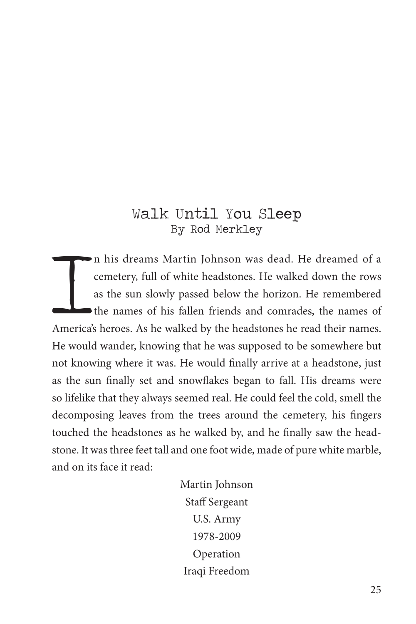## Walk Until You Sleep By Rod Merkley

Implementary, full of white headstones. He walked down the rows as the sun slowly passed below the horizon. He remembered the names of his fallen friends and comrades, the names of America's heroes. As he walked by the hea n his dreams Martin Johnson was dead. He dreamed of a cemetery, full of white headstones. He walked down the rows as the sun slowly passed below the horizon. He remembered the names of his fallen friends and comrades, the names of He would wander, knowing that he was supposed to be somewhere but not knowing where it was. He would finally arrive at a headstone, just as the sun finally set and snowflakes began to fall. His dreams were so lifelike that they always seemed real. He could feel the cold, smell the decomposing leaves from the trees around the cemetery, his fingers touched the headstones as he walked by, and he finally saw the headstone. It was three feet tall and one foot wide, made of pure white marble, and on its face it read:

> Martin Johnson Staff Sergeant U.S. Army 1978-2009 Operation Iraqi Freedom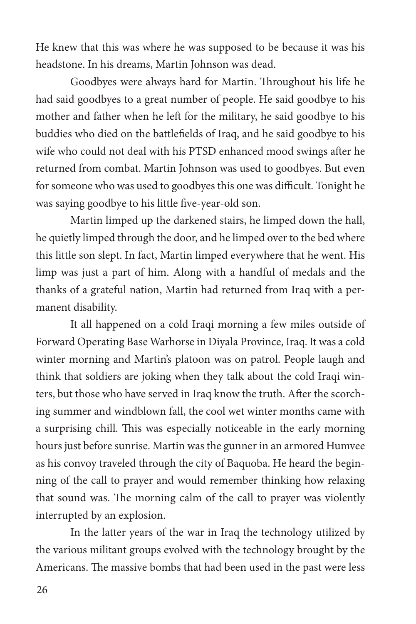He knew that this was where he was supposed to be because it was his headstone. In his dreams, Martin Johnson was dead.

Goodbyes were always hard for Martin. Throughout his life he had said goodbyes to a great number of people. He said goodbye to his mother and father when he left for the military, he said goodbye to his buddies who died on the battlefields of Iraq, and he said goodbye to his wife who could not deal with his PTSD enhanced mood swings after he returned from combat. Martin Johnson was used to goodbyes. But even for someone who was used to goodbyes this one was difficult. Tonight he was saying goodbye to his little five-year-old son.

Martin limped up the darkened stairs, he limped down the hall, he quietly limped through the door, and he limped over to the bed where this little son slept. In fact, Martin limped everywhere that he went. His limp was just a part of him. Along with a handful of medals and the thanks of a grateful nation, Martin had returned from Iraq with a permanent disability.

It all happened on a cold Iraqi morning a few miles outside of Forward Operating Base Warhorse in Diyala Province, Iraq. It was a cold winter morning and Martin's platoon was on patrol. People laugh and think that soldiers are joking when they talk about the cold Iraqi winters, but those who have served in Iraq know the truth. After the scorching summer and windblown fall, the cool wet winter months came with a surprising chill. This was especially noticeable in the early morning hours just before sunrise. Martin was the gunner in an armored Humvee as his convoy traveled through the city of Baquoba. He heard the beginning of the call to prayer and would remember thinking how relaxing that sound was. The morning calm of the call to prayer was violently interrupted by an explosion.

In the latter years of the war in Iraq the technology utilized by the various militant groups evolved with the technology brought by the Americans. The massive bombs that had been used in the past were less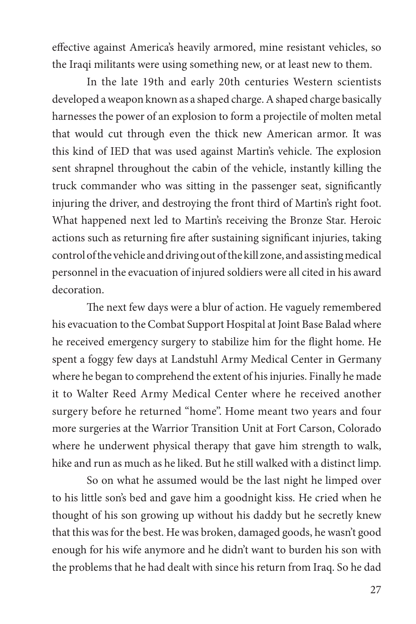effective against America's heavily armored, mine resistant vehicles, so the Iraqi militants were using something new, or at least new to them.

In the late 19th and early 20th centuries Western scientists developed a weapon known as a shaped charge. A shaped charge basically harnesses the power of an explosion to form a projectile of molten metal that would cut through even the thick new American armor. It was this kind of IED that was used against Martin's vehicle. The explosion sent shrapnel throughout the cabin of the vehicle, instantly killing the truck commander who was sitting in the passenger seat, significantly injuring the driver, and destroying the front third of Martin's right foot. What happened next led to Martin's receiving the Bronze Star. Heroic actions such as returning fire after sustaining significant injuries, taking control of the vehicle and driving out of the kill zone, and assisting medical personnel in the evacuation of injured soldiers were all cited in his award decoration.

The next few days were a blur of action. He vaguely remembered his evacuation to the Combat Support Hospital at Joint Base Balad where he received emergency surgery to stabilize him for the flight home. He spent a foggy few days at Landstuhl Army Medical Center in Germany where he began to comprehend the extent of his injuries. Finally he made it to Walter Reed Army Medical Center where he received another surgery before he returned "home". Home meant two years and four more surgeries at the Warrior Transition Unit at Fort Carson, Colorado where he underwent physical therapy that gave him strength to walk, hike and run as much as he liked. But he still walked with a distinct limp.

So on what he assumed would be the last night he limped over to his little son's bed and gave him a goodnight kiss. He cried when he thought of his son growing up without his daddy but he secretly knew that this was for the best. He was broken, damaged goods, he wasn't good enough for his wife anymore and he didn't want to burden his son with the problems that he had dealt with since his return from Iraq. So he dad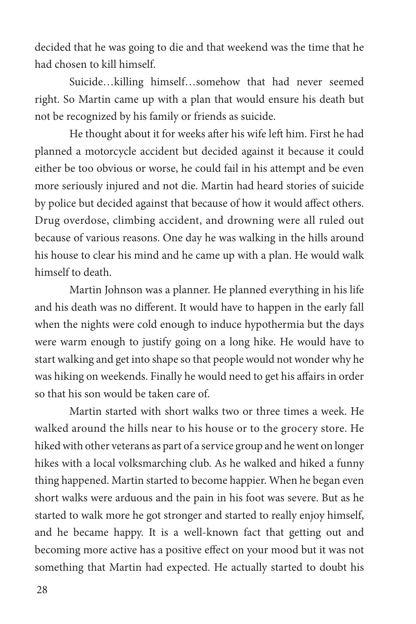decided that he was going to die and that weekend was the time that he had chosen to kill himself.

Suicide…killing himself…somehow that had never seemed right. So Martin came up with a plan that would ensure his death but not be recognized by his family or friends as suicide.

He thought about it for weeks after his wife left him. First he had planned a motorcycle accident but decided against it because it could either be too obvious or worse, he could fail in his attempt and be even more seriously injured and not die. Martin had heard stories of suicide by police but decided against that because of how it would affect others. Drug overdose, climbing accident, and drowning were all ruled out because of various reasons. One day he was walking in the hills around his house to clear his mind and he came up with a plan. He would walk himself to death.

Martin Johnson was a planner. He planned everything in his life and his death was no different. It would have to happen in the early fall when the nights were cold enough to induce hypothermia but the days were warm enough to justify going on a long hike. He would have to start walking and get into shape so that people would not wonder why he was hiking on weekends. Finally he would need to get his affairs in order so that his son would be taken care of.

Martin started with short walks two or three times a week. He walked around the hills near to his house or to the grocery store. He hiked with other veterans as part of a service group and he went on longer hikes with a local volksmarching club. As he walked and hiked a funny thing happened. Martin started to become happier. When he began even short walks were arduous and the pain in his foot was severe. But as he started to walk more he got stronger and started to really enjoy himself, and he became happy. It is a well-known fact that getting out and becoming more active has a positive effect on your mood but it was not something that Martin had expected. He actually started to doubt his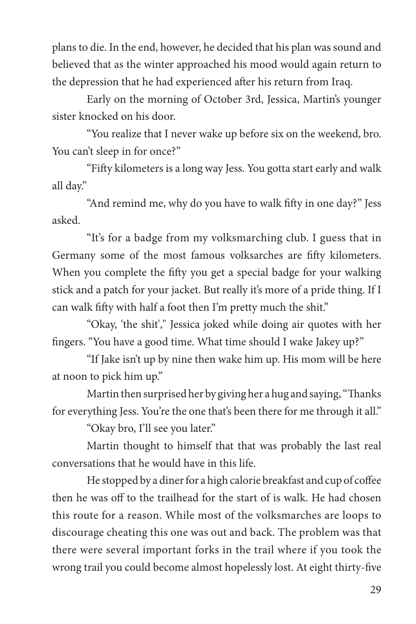plans to die. In the end, however, he decided that his plan was sound and believed that as the winter approached his mood would again return to the depression that he had experienced after his return from Iraq.

Early on the morning of October 3rd, Jessica, Martin's younger sister knocked on his door.

"You realize that I never wake up before six on the weekend, bro. You can't sleep in for once?"

"Fifty kilometers is a long way Jess. You gotta start early and walk all day."

"And remind me, why do you have to walk fifty in one day?" Jess asked.

"It's for a badge from my volksmarching club. I guess that in Germany some of the most famous volksarches are fifty kilometers. When you complete the fifty you get a special badge for your walking stick and a patch for your jacket. But really it's more of a pride thing. If I can walk fifty with half a foot then I'm pretty much the shit."

"Okay, 'the shit'," Jessica joked while doing air quotes with her fingers. "You have a good time. What time should I wake Jakey up?"

"If Jake isn't up by nine then wake him up. His mom will be here at noon to pick him up."

Martin then surprised her by giving her a hug and saying, "Thanks for everything Jess. You're the one that's been there for me through it all."

"Okay bro, I'll see you later."

Martin thought to himself that that was probably the last real conversations that he would have in this life.

He stopped by a diner for a high calorie breakfast and cup of coffee then he was off to the trailhead for the start of is walk. He had chosen this route for a reason. While most of the volksmarches are loops to discourage cheating this one was out and back. The problem was that there were several important forks in the trail where if you took the wrong trail you could become almost hopelessly lost. At eight thirty-five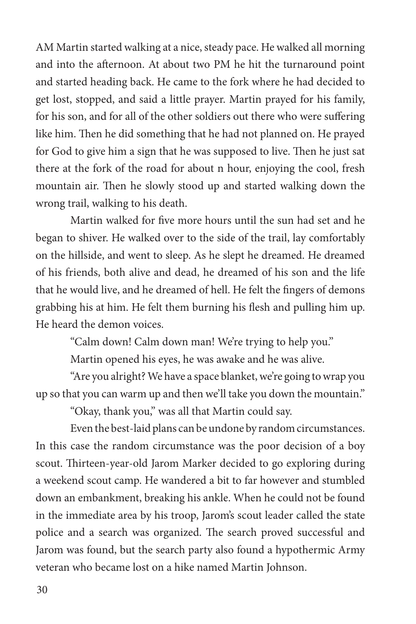AM Martin started walking at a nice, steady pace. He walked all morning and into the afternoon. At about two PM he hit the turnaround point and started heading back. He came to the fork where he had decided to get lost, stopped, and said a little prayer. Martin prayed for his family, for his son, and for all of the other soldiers out there who were suffering like him. Then he did something that he had not planned on. He prayed for God to give him a sign that he was supposed to live. Then he just sat there at the fork of the road for about n hour, enjoying the cool, fresh mountain air. Then he slowly stood up and started walking down the wrong trail, walking to his death.

Martin walked for five more hours until the sun had set and he began to shiver. He walked over to the side of the trail, lay comfortably on the hillside, and went to sleep. As he slept he dreamed. He dreamed of his friends, both alive and dead, he dreamed of his son and the life that he would live, and he dreamed of hell. He felt the fingers of demons grabbing his at him. He felt them burning his flesh and pulling him up. He heard the demon voices.

"Calm down! Calm down man! We're trying to help you."

Martin opened his eyes, he was awake and he was alive.

"Are you alright? We have a space blanket, we're going to wrap you up so that you can warm up and then we'll take you down the mountain."

"Okay, thank you," was all that Martin could say.

Even the best-laid plans can be undone by random circumstances. In this case the random circumstance was the poor decision of a boy scout. Thirteen-year-old Jarom Marker decided to go exploring during a weekend scout camp. He wandered a bit to far however and stumbled down an embankment, breaking his ankle. When he could not be found in the immediate area by his troop, Jarom's scout leader called the state police and a search was organized. The search proved successful and Jarom was found, but the search party also found a hypothermic Army veteran who became lost on a hike named Martin Johnson.